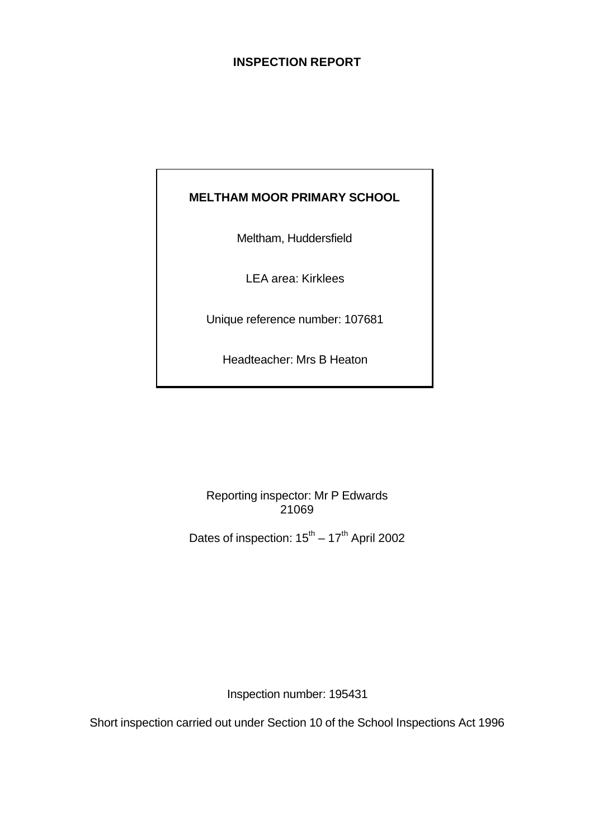# **INSPECTION REPORT**

# **MELTHAM MOOR PRIMARY SCHOOL**

Meltham, Huddersfield

LEA area: Kirklees

Unique reference number: 107681

Headteacher: Mrs B Heaton

Reporting inspector: Mr P Edwards 21069

Dates of inspection:  $15^{th} - 17^{th}$  April 2002

Inspection number: 195431

Short inspection carried out under Section 10 of the School Inspections Act 1996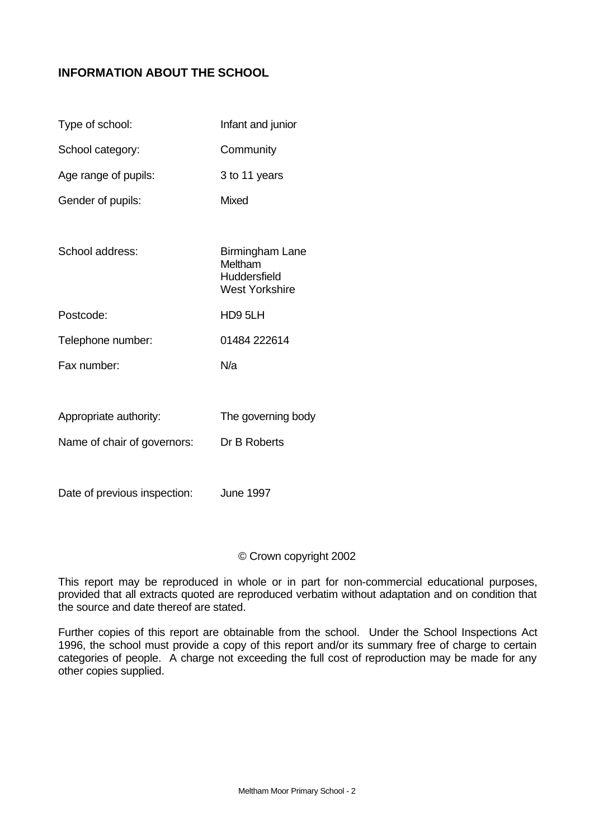# **INFORMATION ABOUT THE SCHOOL**

| Type of school:             | Infant and junior                                                   |
|-----------------------------|---------------------------------------------------------------------|
| School category:            | Community                                                           |
| Age range of pupils:        | 3 to 11 years                                                       |
| Gender of pupils:           | Mixed                                                               |
|                             |                                                                     |
| School address:             | Birmingham Lane<br>Meltham<br>Huddersfield<br><b>West Yorkshire</b> |
| Postcode:                   | HD9 5LH                                                             |
| Telephone number:           | 01484 222614                                                        |
| Fax number:                 | N/a                                                                 |
|                             |                                                                     |
| Appropriate authority:      | The governing body                                                  |
| Name of chair of governors: | Dr B Roberts                                                        |
|                             |                                                                     |

Date of previous inspection: June 1997

#### © Crown copyright 2002

This report may be reproduced in whole or in part for non-commercial educational purposes, provided that all extracts quoted are reproduced verbatim without adaptation and on condition that the source and date thereof are stated.

Further copies of this report are obtainable from the school. Under the School Inspections Act 1996, the school must provide a copy of this report and/or its summary free of charge to certain categories of people. A charge not exceeding the full cost of reproduction may be made for any other copies supplied.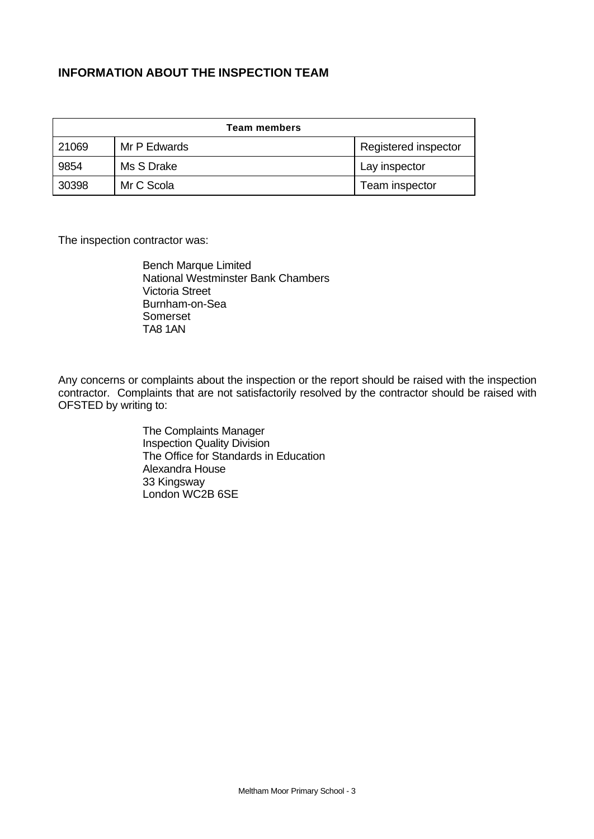# **INFORMATION ABOUT THE INSPECTION TEAM**

| Team members |              |                      |  |
|--------------|--------------|----------------------|--|
| 21069        | Mr P Edwards | Registered inspector |  |
| 9854         | Ms S Drake   | Lay inspector        |  |
| 30398        | Mr C Scola   | Team inspector       |  |

The inspection contractor was:

Bench Marque Limited National Westminster Bank Chambers Victoria Street Burnham-on-Sea Somerset TA8 1AN

Any concerns or complaints about the inspection or the report should be raised with the inspection contractor. Complaints that are not satisfactorily resolved by the contractor should be raised with OFSTED by writing to:

> The Complaints Manager Inspection Quality Division The Office for Standards in Education Alexandra House 33 Kingsway London WC2B 6SE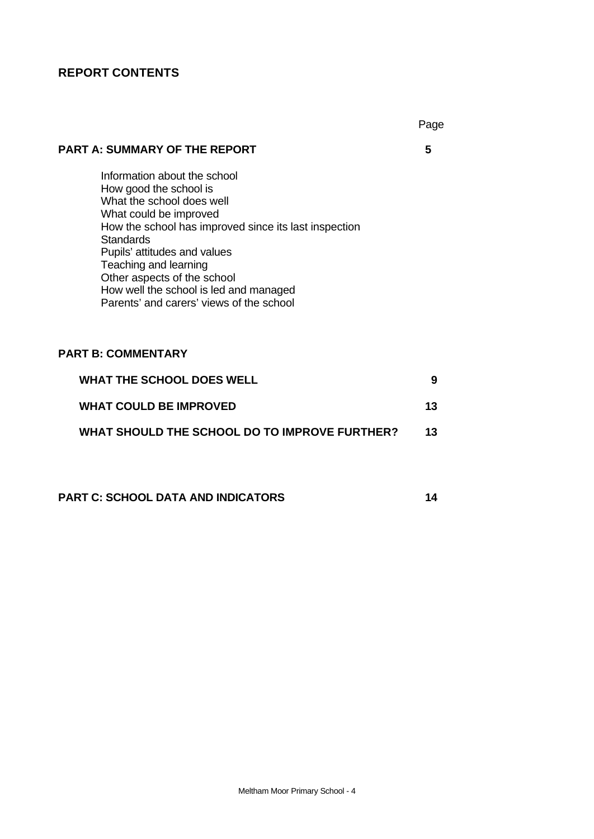# **REPORT CONTENTS**

# **PART A: SUMMARY OF THE REPORT 5**

Information about the school How good the school is What the school does well What could be improved How the school has improved since its last inspection **Standards** Pupils' attitudes and values Teaching and learning Other aspects of the school How well the school is led and managed Parents' and carers' views of the school

# **PART B: COMMENTARY**

| WHAT THE SCHOOL DOES WELL                     |     |
|-----------------------------------------------|-----|
| <b>WHAT COULD BE IMPROVED</b>                 | 13  |
| WHAT SHOULD THE SCHOOL DO TO IMPROVE FURTHER? | 13. |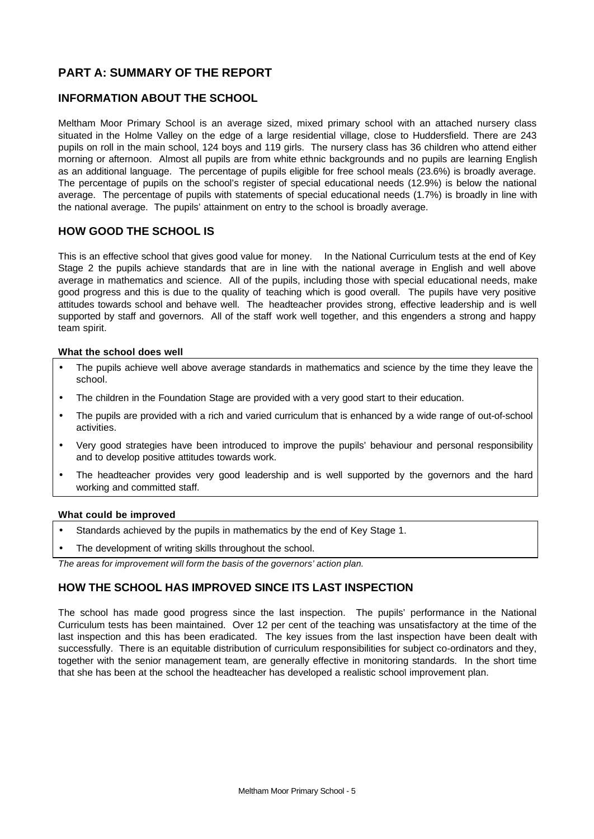# **PART A: SUMMARY OF THE REPORT**

# **INFORMATION ABOUT THE SCHOOL**

Meltham Moor Primary School is an average sized, mixed primary school with an attached nursery class situated in the Holme Valley on the edge of a large residential village, close to Huddersfield. There are 243 pupils on roll in the main school, 124 boys and 119 girls. The nursery class has 36 children who attend either morning or afternoon. Almost all pupils are from white ethnic backgrounds and no pupils are learning English as an additional language. The percentage of pupils eligible for free school meals (23.6%) is broadly average. The percentage of pupils on the school's register of special educational needs (12.9%) is below the national average. The percentage of pupils with statements of special educational needs (1.7%) is broadly in line with the national average. The pupils' attainment on entry to the school is broadly average.

### **HOW GOOD THE SCHOOL IS**

This is an effective school that gives good value for money. In the National Curriculum tests at the end of Key Stage 2 the pupils achieve standards that are in line with the national average in English and well above average in mathematics and science. All of the pupils, including those with special educational needs, make good progress and this is due to the quality of teaching which is good overall. The pupils have very positive attitudes towards school and behave well. The headteacher provides strong, effective leadership and is well supported by staff and governors. All of the staff work well together, and this engenders a strong and happy team spirit.

#### **What the school does well**

- The pupils achieve well above average standards in mathematics and science by the time they leave the school.
- The children in the Foundation Stage are provided with a very good start to their education.
- The pupils are provided with a rich and varied curriculum that is enhanced by a wide range of out-of-school activities.
- Very good strategies have been introduced to improve the pupils' behaviour and personal responsibility and to develop positive attitudes towards work.
- The headteacher provides very good leadership and is well supported by the governors and the hard working and committed staff.

#### **What could be improved**

- Standards achieved by the pupils in mathematics by the end of Key Stage 1.
- The development of writing skills throughout the school.

*The areas for improvement will form the basis of the governors' action plan.*

# **HOW THE SCHOOL HAS IMPROVED SINCE ITS LAST INSPECTION**

The school has made good progress since the last inspection. The pupils' performance in the National Curriculum tests has been maintained. Over 12 per cent of the teaching was unsatisfactory at the time of the last inspection and this has been eradicated. The key issues from the last inspection have been dealt with successfully. There is an equitable distribution of curriculum responsibilities for subject co-ordinators and they, together with the senior management team, are generally effective in monitoring standards. In the short time that she has been at the school the headteacher has developed a realistic school improvement plan.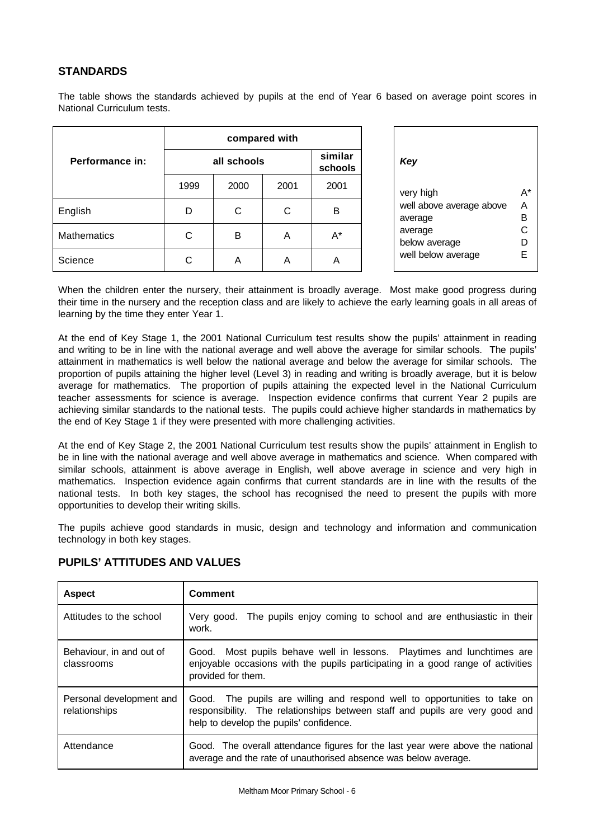# **STANDARDS**

The table shows the standards achieved by pupils at the end of Year 6 based on average point scores in National Curriculum tests.

|                    | compared with |             |      |                    |                                     |        |
|--------------------|---------------|-------------|------|--------------------|-------------------------------------|--------|
| Performance in:    |               | all schools |      | similar<br>schools | Key                                 |        |
|                    | 1999          | 2000        | 2001 | 2001               | very high                           | A*     |
| English            | D             | С           | C    | B                  | well above average above<br>average | A<br>B |
| <b>Mathematics</b> | С             | B           | Α    | A*                 | average<br>below average            | С<br>D |
| Science            | ⌒             | A           | Α    | A                  | well below average                  | E      |

| Key                                                                                                |                              |
|----------------------------------------------------------------------------------------------------|------------------------------|
| very high<br>well above average above<br>average<br>average<br>below average<br>well below average | д*<br>А<br>в<br>C<br>I)<br>F |
|                                                                                                    |                              |

When the children enter the nursery, their attainment is broadly average. Most make good progress during their time in the nursery and the reception class and are likely to achieve the early learning goals in all areas of learning by the time they enter Year 1.

At the end of Key Stage 1, the 2001 National Curriculum test results show the pupils' attainment in reading and writing to be in line with the national average and well above the average for similar schools. The pupils' attainment in mathematics is well below the national average and below the average for similar schools. The proportion of pupils attaining the higher level (Level 3) in reading and writing is broadly average, but it is below average for mathematics. The proportion of pupils attaining the expected level in the National Curriculum teacher assessments for science is average. Inspection evidence confirms that current Year 2 pupils are achieving similar standards to the national tests. The pupils could achieve higher standards in mathematics by the end of Key Stage 1 if they were presented with more challenging activities.

At the end of Key Stage 2, the 2001 National Curriculum test results show the pupils' attainment in English to be in line with the national average and well above average in mathematics and science. When compared with similar schools, attainment is above average in English, well above average in science and very high in mathematics. Inspection evidence again confirms that current standards are in line with the results of the national tests. In both key stages, the school has recognised the need to present the pupils with more opportunities to develop their writing skills.

The pupils achieve good standards in music, design and technology and information and communication technology in both key stages.

| <b>Aspect</b>                             | <b>Comment</b>                                                                                                                                                                                       |
|-------------------------------------------|------------------------------------------------------------------------------------------------------------------------------------------------------------------------------------------------------|
| Attitudes to the school                   | Very good. The pupils enjoy coming to school and are enthusiastic in their<br>work.                                                                                                                  |
| Behaviour, in and out of<br>classrooms    | Good. Most pupils behave well in lessons. Playtimes and lunchtimes are<br>enjoyable occasions with the pupils participating in a good range of activities<br>provided for them.                      |
| Personal development and<br>relationships | Good. The pupils are willing and respond well to opportunities to take on<br>responsibility. The relationships between staff and pupils are very good and<br>help to develop the pupils' confidence. |
| Attendance                                | Good. The overall attendance figures for the last year were above the national<br>average and the rate of unauthorised absence was below average.                                                    |

# **PUPILS' ATTITUDES AND VALUES**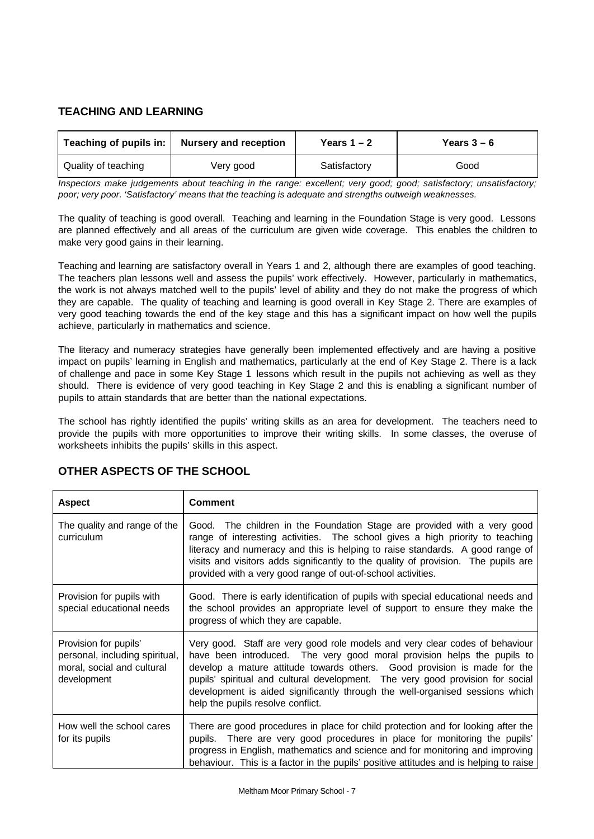# **TEACHING AND LEARNING**

|                            | Teaching of pupils in:   Nursery and reception | Years $1 - 2$ | Years $3-6$ |
|----------------------------|------------------------------------------------|---------------|-------------|
| <b>Quality of teaching</b> | Very good                                      | Satisfactory  | Good        |

*Inspectors make judgements about teaching in the range: excellent; very good; good; satisfactory; unsatisfactory; poor; very poor. 'Satisfactory' means that the teaching is adequate and strengths outweigh weaknesses.*

The quality of teaching is good overall. Teaching and learning in the Foundation Stage is very good. Lessons are planned effectively and all areas of the curriculum are given wide coverage. This enables the children to make very good gains in their learning.

Teaching and learning are satisfactory overall in Years 1 and 2, although there are examples of good teaching. The teachers plan lessons well and assess the pupils' work effectively. However, particularly in mathematics, the work is not always matched well to the pupils' level of ability and they do not make the progress of which they are capable. The quality of teaching and learning is good overall in Key Stage 2. There are examples of very good teaching towards the end of the key stage and this has a significant impact on how well the pupils achieve, particularly in mathematics and science.

The literacy and numeracy strategies have generally been implemented effectively and are having a positive impact on pupils' learning in English and mathematics, particularly at the end of Key Stage 2. There is a lack of challenge and pace in some Key Stage 1 lessons which result in the pupils not achieving as well as they should. There is evidence of very good teaching in Key Stage 2 and this is enabling a significant number of pupils to attain standards that are better than the national expectations.

The school has rightly identified the pupils' writing skills as an area for development. The teachers need to provide the pupils with more opportunities to improve their writing skills. In some classes, the overuse of worksheets inhibits the pupils' skills in this aspect.

| <b>Aspect</b>                                                                                        | <b>Comment</b>                                                                                                                                                                                                                                                                                                                                                                                                                             |
|------------------------------------------------------------------------------------------------------|--------------------------------------------------------------------------------------------------------------------------------------------------------------------------------------------------------------------------------------------------------------------------------------------------------------------------------------------------------------------------------------------------------------------------------------------|
| The quality and range of the<br>curriculum                                                           | Good. The children in the Foundation Stage are provided with a very good<br>range of interesting activities. The school gives a high priority to teaching<br>literacy and numeracy and this is helping to raise standards. A good range of<br>visits and visitors adds significantly to the quality of provision. The pupils are<br>provided with a very good range of out-of-school activities.                                           |
| Provision for pupils with<br>special educational needs                                               | Good. There is early identification of pupils with special educational needs and<br>the school provides an appropriate level of support to ensure they make the<br>progress of which they are capable.                                                                                                                                                                                                                                     |
| Provision for pupils'<br>personal, including spiritual,<br>moral, social and cultural<br>development | Very good. Staff are very good role models and very clear codes of behaviour<br>have been introduced. The very good moral provision helps the pupils to<br>develop a mature attitude towards others. Good provision is made for the<br>pupils' spiritual and cultural development. The very good provision for social<br>development is aided significantly through the well-organised sessions which<br>help the pupils resolve conflict. |
| How well the school cares<br>for its pupils                                                          | There are good procedures in place for child protection and for looking after the<br>pupils. There are very good procedures in place for monitoring the pupils'<br>progress in English, mathematics and science and for monitoring and improving<br>behaviour. This is a factor in the pupils' positive attitudes and is helping to raise                                                                                                  |

# **OTHER ASPECTS OF THE SCHOOL**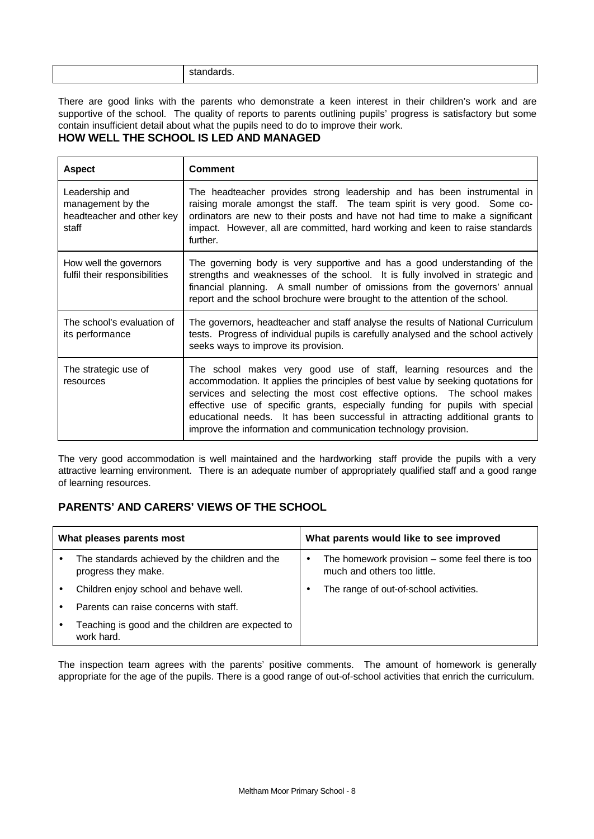| - - - -<br>$\sim$<br>SIA.<br>andarus.<br>. |
|--------------------------------------------|
|                                            |

There are good links with the parents who demonstrate a keen interest in their children's work and are supportive of the school. The quality of reports to parents outlining pupils' progress is satisfactory but some contain insufficient detail about what the pupils need to do to improve their work.

# **HOW WELL THE SCHOOL IS LED AND MANAGED**

| <b>Aspect</b>                                                             | Comment                                                                                                                                                                                                                                                                                                                                                                                                                                                                |
|---------------------------------------------------------------------------|------------------------------------------------------------------------------------------------------------------------------------------------------------------------------------------------------------------------------------------------------------------------------------------------------------------------------------------------------------------------------------------------------------------------------------------------------------------------|
| Leadership and<br>management by the<br>headteacher and other key<br>staff | The headteacher provides strong leadership and has been instrumental in<br>raising morale amongst the staff. The team spirit is very good. Some co-<br>ordinators are new to their posts and have not had time to make a significant<br>impact. However, all are committed, hard working and keen to raise standards<br>further.                                                                                                                                       |
| How well the governors<br>fulfil their responsibilities                   | The governing body is very supportive and has a good understanding of the<br>strengths and weaknesses of the school. It is fully involved in strategic and<br>financial planning. A small number of omissions from the governors' annual<br>report and the school brochure were brought to the attention of the school.                                                                                                                                                |
| The school's evaluation of<br>its performance                             | The governors, headteacher and staff analyse the results of National Curriculum<br>tests. Progress of individual pupils is carefully analysed and the school actively<br>seeks ways to improve its provision.                                                                                                                                                                                                                                                          |
| The strategic use of<br>resources                                         | The school makes very good use of staff, learning resources and the<br>accommodation. It applies the principles of best value by seeking quotations for<br>services and selecting the most cost effective options. The school makes<br>effective use of specific grants, especially funding for pupils with special<br>educational needs. It has been successful in attracting additional grants to<br>improve the information and communication technology provision. |

The very good accommodation is well maintained and the hardworking staff provide the pupils with a very attractive learning environment. There is an adequate number of appropriately qualified staff and a good range of learning resources.

# **PARENTS' AND CARERS' VIEWS OF THE SCHOOL**

| What pleases parents most |                                                                       | What parents would like to see improved |                                                                                  |
|---------------------------|-----------------------------------------------------------------------|-----------------------------------------|----------------------------------------------------------------------------------|
| $\bullet$                 | The standards achieved by the children and the<br>progress they make. | ٠                                       | The homework provision $-$ some feel there is too<br>much and others too little. |
|                           | Children enjoy school and behave well.                                |                                         | The range of out-of-school activities.                                           |
|                           | Parents can raise concerns with staff.                                |                                         |                                                                                  |
| $\bullet$                 | Teaching is good and the children are expected to<br>work hard.       |                                         |                                                                                  |

The inspection team agrees with the parents' positive comments. The amount of homework is generally appropriate for the age of the pupils. There is a good range of out-of-school activities that enrich the curriculum.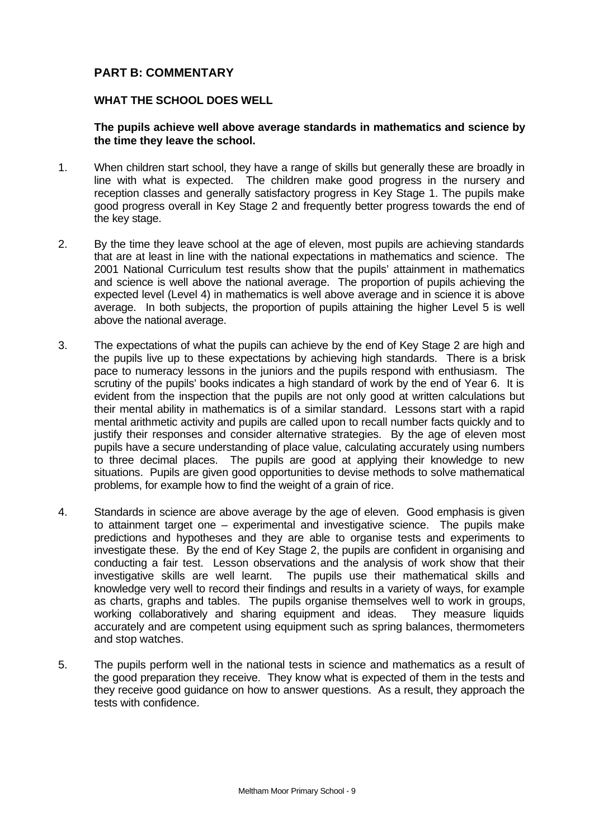# **PART B: COMMENTARY**

# **WHAT THE SCHOOL DOES WELL**

# **The pupils achieve well above average standards in mathematics and science by the time they leave the school.**

- 1. When children start school, they have a range of skills but generally these are broadly in line with what is expected. The children make good progress in the nursery and reception classes and generally satisfactory progress in Key Stage 1. The pupils make good progress overall in Key Stage 2 and frequently better progress towards the end of the key stage.
- 2. By the time they leave school at the age of eleven, most pupils are achieving standards that are at least in line with the national expectations in mathematics and science. The 2001 National Curriculum test results show that the pupils' attainment in mathematics and science is well above the national average. The proportion of pupils achieving the expected level (Level 4) in mathematics is well above average and in science it is above average. In both subjects, the proportion of pupils attaining the higher Level 5 is well above the national average.
- 3. The expectations of what the pupils can achieve by the end of Key Stage 2 are high and the pupils live up to these expectations by achieving high standards. There is a brisk pace to numeracy lessons in the juniors and the pupils respond with enthusiasm. The scrutiny of the pupils' books indicates a high standard of work by the end of Year 6. It is evident from the inspection that the pupils are not only good at written calculations but their mental ability in mathematics is of a similar standard. Lessons start with a rapid mental arithmetic activity and pupils are called upon to recall number facts quickly and to justify their responses and consider alternative strategies. By the age of eleven most pupils have a secure understanding of place value, calculating accurately using numbers to three decimal places. The pupils are good at applying their knowledge to new situations. Pupils are given good opportunities to devise methods to solve mathematical problems, for example how to find the weight of a grain of rice.
- 4. Standards in science are above average by the age of eleven. Good emphasis is given to attainment target one – experimental and investigative science. The pupils make predictions and hypotheses and they are able to organise tests and experiments to investigate these. By the end of Key Stage 2, the pupils are confident in organising and conducting a fair test. Lesson observations and the analysis of work show that their investigative skills are well learnt. The pupils use their mathematical skills and knowledge very well to record their findings and results in a variety of ways, for example as charts, graphs and tables. The pupils organise themselves well to work in groups, working collaboratively and sharing equipment and ideas. They measure liquids accurately and are competent using equipment such as spring balances, thermometers and stop watches.
- 5. The pupils perform well in the national tests in science and mathematics as a result of the good preparation they receive. They know what is expected of them in the tests and they receive good guidance on how to answer questions. As a result, they approach the tests with confidence.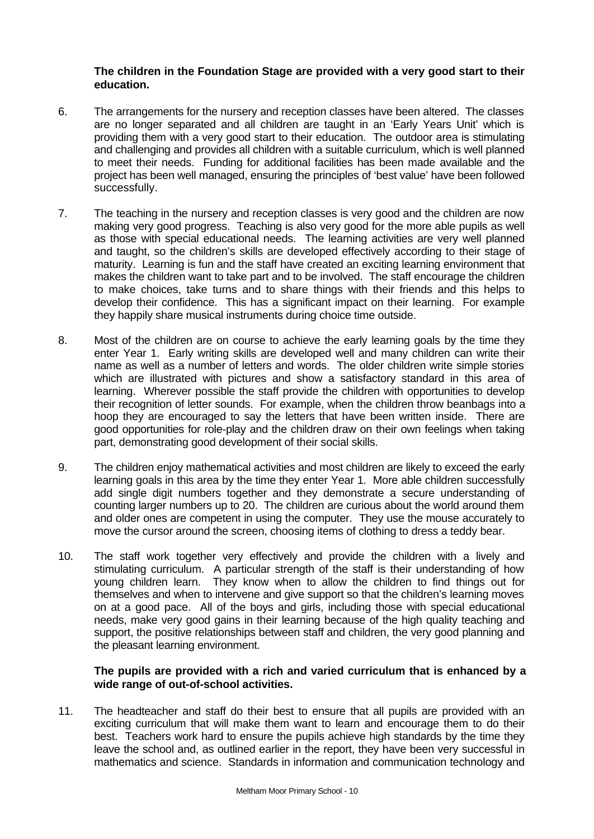## **The children in the Foundation Stage are provided with a very good start to their education.**

- 6. The arrangements for the nursery and reception classes have been altered. The classes are no longer separated and all children are taught in an 'Early Years Unit' which is providing them with a very good start to their education. The outdoor area is stimulating and challenging and provides all children with a suitable curriculum, which is well planned to meet their needs. Funding for additional facilities has been made available and the project has been well managed, ensuring the principles of 'best value' have been followed successfully.
- 7. The teaching in the nursery and reception classes is very good and the children are now making very good progress. Teaching is also very good for the more able pupils as well as those with special educational needs. The learning activities are very well planned and taught, so the children's skills are developed effectively according to their stage of maturity. Learning is fun and the staff have created an exciting learning environment that makes the children want to take part and to be involved. The staff encourage the children to make choices, take turns and to share things with their friends and this helps to develop their confidence. This has a significant impact on their learning. For example they happily share musical instruments during choice time outside.
- 8. Most of the children are on course to achieve the early learning goals by the time they enter Year 1. Early writing skills are developed well and many children can write their name as well as a number of letters and words. The older children write simple stories which are illustrated with pictures and show a satisfactory standard in this area of learning. Wherever possible the staff provide the children with opportunities to develop their recognition of letter sounds. For example, when the children throw beanbags into a hoop they are encouraged to say the letters that have been written inside. There are good opportunities for role-play and the children draw on their own feelings when taking part, demonstrating good development of their social skills.
- 9. The children enjoy mathematical activities and most children are likely to exceed the early learning goals in this area by the time they enter Year 1. More able children successfully add single digit numbers together and they demonstrate a secure understanding of counting larger numbers up to 20. The children are curious about the world around them and older ones are competent in using the computer. They use the mouse accurately to move the cursor around the screen, choosing items of clothing to dress a teddy bear.
- 10. The staff work together very effectively and provide the children with a lively and stimulating curriculum. A particular strength of the staff is their understanding of how young children learn. They know when to allow the children to find things out for themselves and when to intervene and give support so that the children's learning moves on at a good pace. All of the boys and girls, including those with special educational needs, make very good gains in their learning because of the high quality teaching and support, the positive relationships between staff and children, the very good planning and the pleasant learning environment.

# **The pupils are provided with a rich and varied curriculum that is enhanced by a wide range of out-of-school activities.**

11. The headteacher and staff do their best to ensure that all pupils are provided with an exciting curriculum that will make them want to learn and encourage them to do their best. Teachers work hard to ensure the pupils achieve high standards by the time they leave the school and, as outlined earlier in the report, they have been very successful in mathematics and science. Standards in information and communication technology and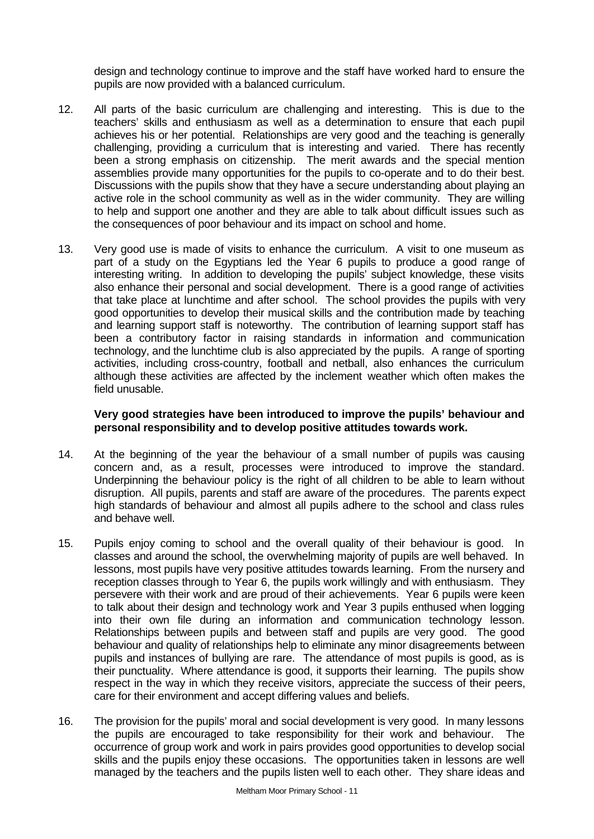design and technology continue to improve and the staff have worked hard to ensure the pupils are now provided with a balanced curriculum.

- 12. All parts of the basic curriculum are challenging and interesting. This is due to the teachers' skills and enthusiasm as well as a determination to ensure that each pupil achieves his or her potential. Relationships are very good and the teaching is generally challenging, providing a curriculum that is interesting and varied. There has recently been a strong emphasis on citizenship. The merit awards and the special mention assemblies provide many opportunities for the pupils to co-operate and to do their best. Discussions with the pupils show that they have a secure understanding about playing an active role in the school community as well as in the wider community. They are willing to help and support one another and they are able to talk about difficult issues such as the consequences of poor behaviour and its impact on school and home.
- 13. Very good use is made of visits to enhance the curriculum. A visit to one museum as part of a study on the Egyptians led the Year 6 pupils to produce a good range of interesting writing. In addition to developing the pupils' subject knowledge, these visits also enhance their personal and social development. There is a good range of activities that take place at lunchtime and after school. The school provides the pupils with very good opportunities to develop their musical skills and the contribution made by teaching and learning support staff is noteworthy. The contribution of learning support staff has been a contributory factor in raising standards in information and communication technology, and the lunchtime club is also appreciated by the pupils. A range of sporting activities, including cross-country, football and netball, also enhances the curriculum although these activities are affected by the inclement weather which often makes the field unusable.

### **Very good strategies have been introduced to improve the pupils' behaviour and personal responsibility and to develop positive attitudes towards work.**

- 14. At the beginning of the year the behaviour of a small number of pupils was causing concern and, as a result, processes were introduced to improve the standard. Underpinning the behaviour policy is the right of all children to be able to learn without disruption. All pupils, parents and staff are aware of the procedures. The parents expect high standards of behaviour and almost all pupils adhere to the school and class rules and behave well.
- 15. Pupils enjoy coming to school and the overall quality of their behaviour is good. In classes and around the school, the overwhelming majority of pupils are well behaved. In lessons, most pupils have very positive attitudes towards learning. From the nursery and reception classes through to Year 6, the pupils work willingly and with enthusiasm. They persevere with their work and are proud of their achievements. Year 6 pupils were keen to talk about their design and technology work and Year 3 pupils enthused when logging into their own file during an information and communication technology lesson. Relationships between pupils and between staff and pupils are very good. The good behaviour and quality of relationships help to eliminate any minor disagreements between pupils and instances of bullying are rare. The attendance of most pupils is good, as is their punctuality. Where attendance is good, it supports their learning. The pupils show respect in the way in which they receive visitors, appreciate the success of their peers, care for their environment and accept differing values and beliefs.
- 16. The provision for the pupils' moral and social development is very good. In many lessons the pupils are encouraged to take responsibility for their work and behaviour. The occurrence of group work and work in pairs provides good opportunities to develop social skills and the pupils enjoy these occasions. The opportunities taken in lessons are well managed by the teachers and the pupils listen well to each other. They share ideas and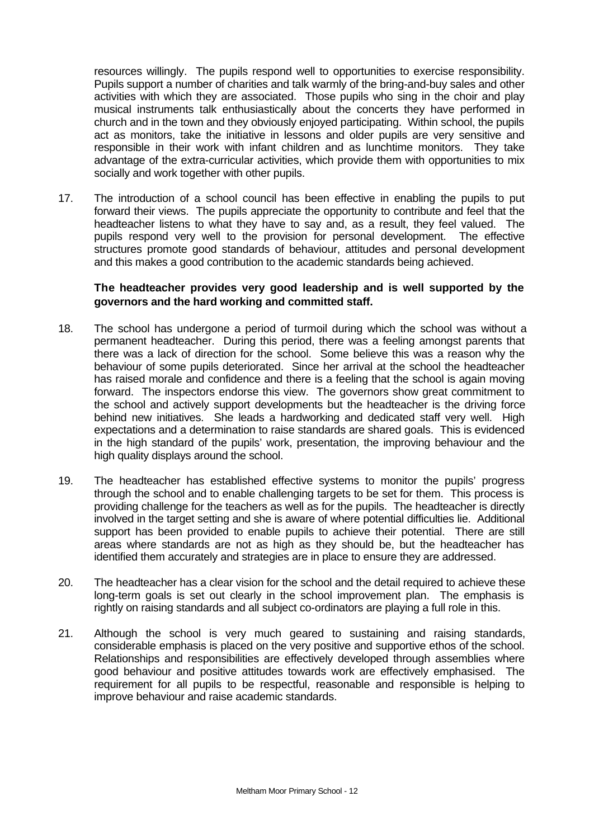resources willingly. The pupils respond well to opportunities to exercise responsibility. Pupils support a number of charities and talk warmly of the bring-and-buy sales and other activities with which they are associated. Those pupils who sing in the choir and play musical instruments talk enthusiastically about the concerts they have performed in church and in the town and they obviously enjoyed participating. Within school, the pupils act as monitors, take the initiative in lessons and older pupils are very sensitive and responsible in their work with infant children and as lunchtime monitors. They take advantage of the extra-curricular activities, which provide them with opportunities to mix socially and work together with other pupils.

17. The introduction of a school council has been effective in enabling the pupils to put forward their views. The pupils appreciate the opportunity to contribute and feel that the headteacher listens to what they have to say and, as a result, they feel valued. The pupils respond very well to the provision for personal development. The effective structures promote good standards of behaviour, attitudes and personal development and this makes a good contribution to the academic standards being achieved.

# **The headteacher provides very good leadership and is well supported by the governors and the hard working and committed staff.**

- 18. The school has undergone a period of turmoil during which the school was without a permanent headteacher. During this period, there was a feeling amongst parents that there was a lack of direction for the school. Some believe this was a reason why the behaviour of some pupils deteriorated. Since her arrival at the school the headteacher has raised morale and confidence and there is a feeling that the school is again moving forward. The inspectors endorse this view. The governors show great commitment to the school and actively support developments but the headteacher is the driving force behind new initiatives. She leads a hardworking and dedicated staff very well. High expectations and a determination to raise standards are shared goals. This is evidenced in the high standard of the pupils' work, presentation, the improving behaviour and the high quality displays around the school.
- 19. The headteacher has established effective systems to monitor the pupils' progress through the school and to enable challenging targets to be set for them. This process is providing challenge for the teachers as well as for the pupils. The headteacher is directly involved in the target setting and she is aware of where potential difficulties lie. Additional support has been provided to enable pupils to achieve their potential. There are still areas where standards are not as high as they should be, but the headteacher has identified them accurately and strategies are in place to ensure they are addressed.
- 20. The headteacher has a clear vision for the school and the detail required to achieve these long-term goals is set out clearly in the school improvement plan. The emphasis is rightly on raising standards and all subject co-ordinators are playing a full role in this.
- 21. Although the school is very much geared to sustaining and raising standards, considerable emphasis is placed on the very positive and supportive ethos of the school. Relationships and responsibilities are effectively developed through assemblies where good behaviour and positive attitudes towards work are effectively emphasised. The requirement for all pupils to be respectful, reasonable and responsible is helping to improve behaviour and raise academic standards.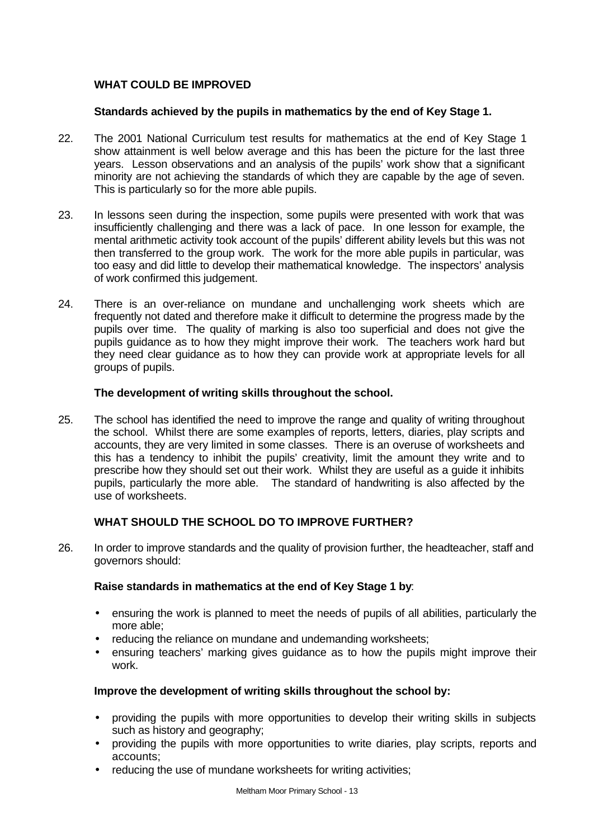# **WHAT COULD BE IMPROVED**

## **Standards achieved by the pupils in mathematics by the end of Key Stage 1.**

- 22. The 2001 National Curriculum test results for mathematics at the end of Key Stage 1 show attainment is well below average and this has been the picture for the last three years. Lesson observations and an analysis of the pupils' work show that a significant minority are not achieving the standards of which they are capable by the age of seven. This is particularly so for the more able pupils.
- 23. In lessons seen during the inspection, some pupils were presented with work that was insufficiently challenging and there was a lack of pace. In one lesson for example, the mental arithmetic activity took account of the pupils' different ability levels but this was not then transferred to the group work. The work for the more able pupils in particular, was too easy and did little to develop their mathematical knowledge. The inspectors' analysis of work confirmed this judgement.
- 24. There is an over-reliance on mundane and unchallenging work sheets which are frequently not dated and therefore make it difficult to determine the progress made by the pupils over time. The quality of marking is also too superficial and does not give the pupils guidance as to how they might improve their work. The teachers work hard but they need clear guidance as to how they can provide work at appropriate levels for all groups of pupils.

### **The development of writing skills throughout the school.**

25. The school has identified the need to improve the range and quality of writing throughout the school. Whilst there are some examples of reports, letters, diaries, play scripts and accounts, they are very limited in some classes. There is an overuse of worksheets and this has a tendency to inhibit the pupils' creativity, limit the amount they write and to prescribe how they should set out their work. Whilst they are useful as a guide it inhibits pupils, particularly the more able. The standard of handwriting is also affected by the use of worksheets.

# **WHAT SHOULD THE SCHOOL DO TO IMPROVE FURTHER?**

26. In order to improve standards and the quality of provision further, the headteacher, staff and governors should:

# **Raise standards in mathematics at the end of Key Stage 1 by**:

- ensuring the work is planned to meet the needs of pupils of all abilities, particularly the more able;
- reducing the reliance on mundane and undemanding worksheets;
- ensuring teachers' marking gives guidance as to how the pupils might improve their work.

# **Improve the development of writing skills throughout the school by:**

- providing the pupils with more opportunities to develop their writing skills in subjects such as history and geography;
- providing the pupils with more opportunities to write diaries, play scripts, reports and accounts;
- reducing the use of mundane worksheets for writing activities;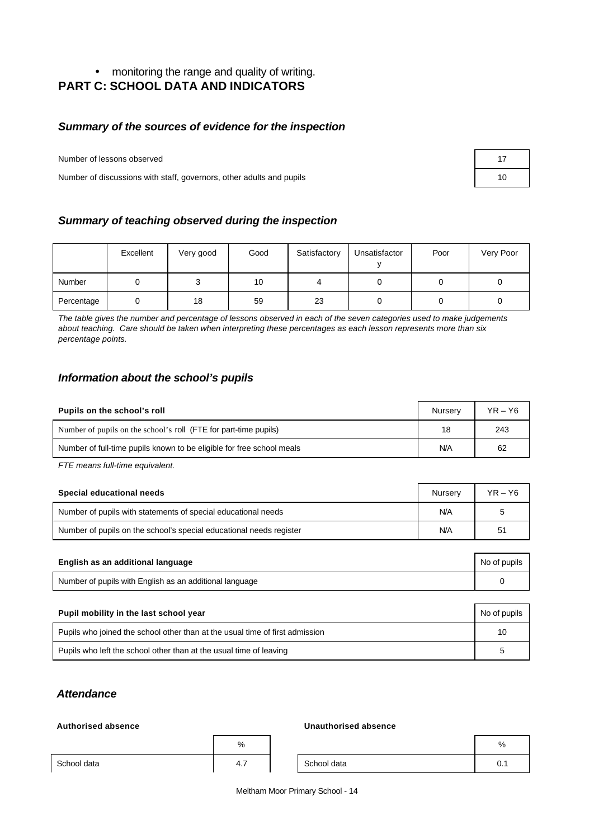# • monitoring the range and quality of writing. **PART C: SCHOOL DATA AND INDICATORS**

# *Summary of the sources of evidence for the inspection*

Number of lessons observed

Number of discussions with staff, governors, other adults and pupils

| 17 |  |
|----|--|
| 10 |  |

# *Summary of teaching observed during the inspection*

|            | Excellent | Very good | Good | Satisfactory | Unsatisfactor | Poor | Very Poor |
|------------|-----------|-----------|------|--------------|---------------|------|-----------|
| Number     |           | u         | 10   |              |               |      |           |
| Percentage |           | 18        | 59   | 23           |               |      |           |

*The table gives the number and percentage of lessons observed in each of the seven categories used to make judgements about teaching. Care should be taken when interpreting these percentages as each lesson represents more than six percentage points.*

# *Information about the school's pupils*

| Pupils on the school's roll                                           | Nurserv | $YR - Y6$ |
|-----------------------------------------------------------------------|---------|-----------|
| Number of pupils on the school's roll (FTE for part-time pupils)      | 18      | 243       |
| Number of full-time pupils known to be eligible for free school meals | N/A     | 62        |

*FTE means full-time equivalent.*

| Special educational needs                                           | Nurserv | $YR - Y6$ |
|---------------------------------------------------------------------|---------|-----------|
| Number of pupils with statements of special educational needs       | N/A     | 5         |
| Number of pupils on the school's special educational needs register | N/A     | 51        |

| English as an additional language                       | No of pupils |
|---------------------------------------------------------|--------------|
| Number of pupils with English as an additional language |              |

| Pupil mobility in the last school year                                       |    |  |  |
|------------------------------------------------------------------------------|----|--|--|
| Pupils who joined the school other than at the usual time of first admission | 10 |  |  |
| Pupils who left the school other than at the usual time of leaving           | b  |  |  |

# *Attendance*

#### **Authorised absence Unauthorised absence**

|             | %        |             | %    |
|-------------|----------|-------------|------|
| School data | -<br>4.1 | School data | ν. ι |

Meltham Moor Primary School - 14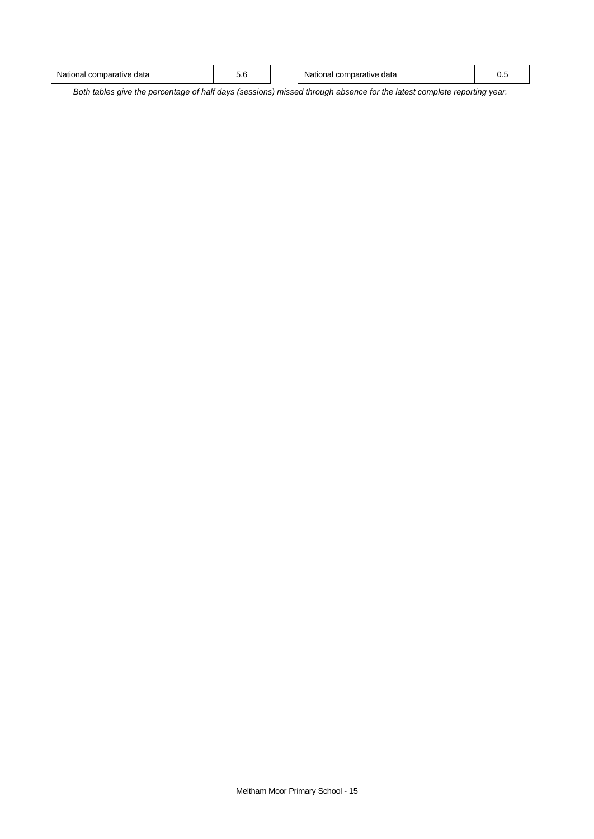| National c<br>mparative<br>data<br>⊶or⊷<br>. | ◡.◡ | data<br>nparative<br>JI Id<br>Ndill.<br>w<br>. | v.J |
|----------------------------------------------|-----|------------------------------------------------|-----|
|                                              |     |                                                |     |

*Both tables give the percentage of half days (sessions) missed through absence for the latest complete reporting year.*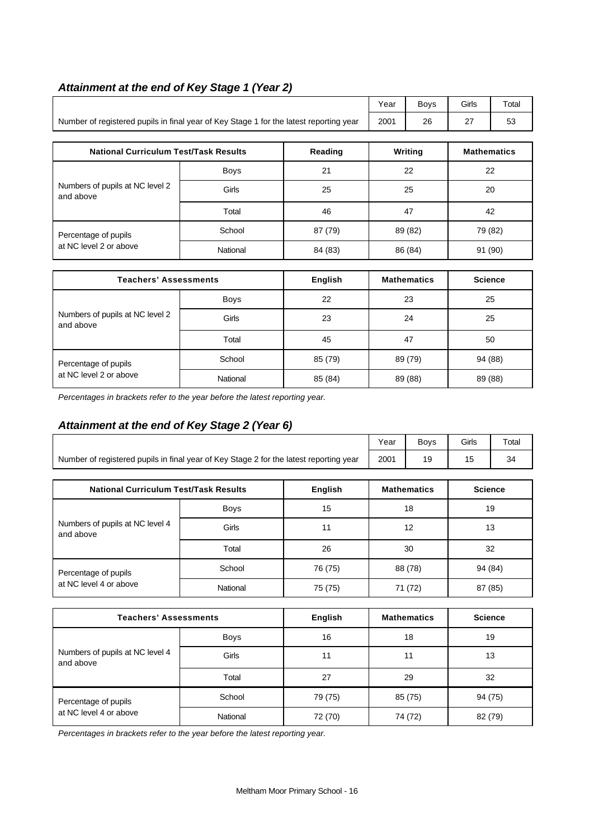|                                                                                        |             | Year    | <b>Boys</b> | Girls              | Total              |         |
|----------------------------------------------------------------------------------------|-------------|---------|-------------|--------------------|--------------------|---------|
| Number of registered pupils in final year of Key Stage 1 for the latest reporting year | 2001        | 26      | 27          | 53                 |                    |         |
|                                                                                        |             |         |             |                    |                    |         |
| <b>National Curriculum Test/Task Results</b>                                           |             | Reading |             | Writing            | <b>Mathematics</b> |         |
| Numbers of pupils at NC level 2<br>and above                                           | <b>Boys</b> | 21      |             | 22                 | 22                 |         |
|                                                                                        | Girls       | 25      | 25          |                    | 20                 |         |
|                                                                                        | Total       | 46      |             | 47                 |                    | 42      |
| Percentage of pupils                                                                   | School      | 87 (79) |             | 89 (82)            |                    | 79 (82) |
| at NC level 2 or above                                                                 | National    | 84 (83) |             | 86 (84)            |                    | 91 (90) |
|                                                                                        |             |         |             |                    |                    |         |
| English<br><b>Teachers' Assessments</b>                                                |             |         |             | <b>Mathematics</b> | <b>Science</b>     |         |
| Numbers of pupils at NC level 2                                                        | <b>Boys</b> | 22      | 23          |                    |                    | 25      |
|                                                                                        | Girle       | つつ      |             | 24<br>つら           |                    |         |

Girls 1 23 24 25

Total 45 47 50

# *Attainment at the end of Key Stage 1 (Year 2)*

*Percentages in brackets refer to the year before the latest reporting year.*

# *Attainment at the end of Key Stage 2 (Year 6)*

and above

|                                                                                        | Year | <b>Bovs</b> | <b>Girls</b> | Total |
|----------------------------------------------------------------------------------------|------|-------------|--------------|-------|
| Number of registered pupils in final year of Key Stage 2 for the latest reporting year | 2001 |             |              |       |

Percentage of pupils **School** 85 (79) 89 (79) 89 (79) 84 (88) at NC level 2 or above **National** 85 (84) 89 (88) 89 (88) 89 (88)

| <b>National Curriculum Test/Task Results</b> |             | English | <b>Mathematics</b> | <b>Science</b> |
|----------------------------------------------|-------------|---------|--------------------|----------------|
|                                              | <b>Boys</b> | 15      | 18                 | 19             |
| Numbers of pupils at NC level 4<br>and above | Girls       | 11      | 12                 | 13             |
|                                              | Total       | 26      | 30                 | 32             |
| Percentage of pupils                         | School      | 76 (75) | 88 (78)            | 94 (84)        |
| at NC level 4 or above                       | National    | 75 (75) | 71 (72)            | 87 (85)        |

| <b>Teachers' Assessments</b>                 | English     | <b>Mathematics</b> | <b>Science</b> |         |
|----------------------------------------------|-------------|--------------------|----------------|---------|
|                                              | <b>Boys</b> | 16                 | 18             | 19      |
| Numbers of pupils at NC level 4<br>and above | Girls       | 11                 | 11             | 13      |
|                                              | Total       | 27                 | 29             | 32      |
| Percentage of pupils                         | School      | 79 (75)            | 85 (75)        | 94 (75) |
| at NC level 4 or above                       | National    | 72 (70)            | 74 (72)        | 82 (79) |

*Percentages in brackets refer to the year before the latest reporting year.*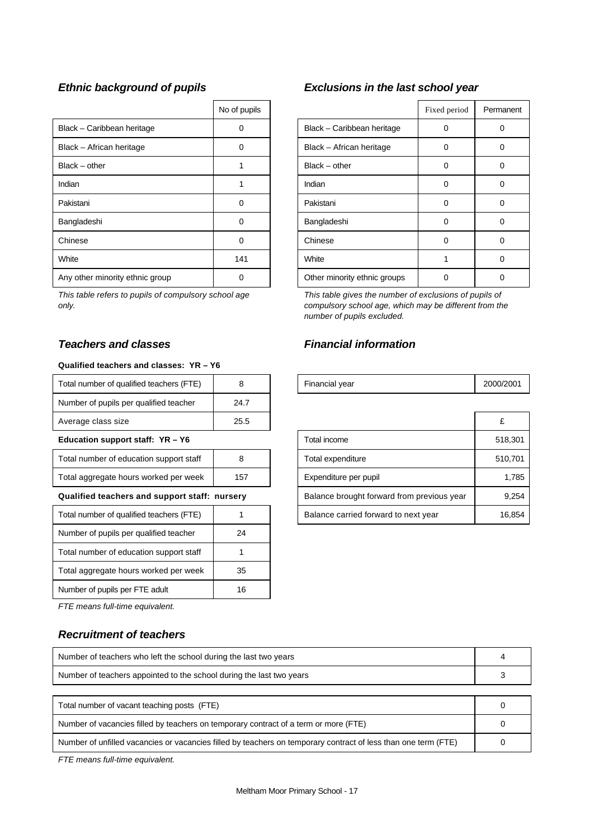|                                 | No of pupils |                              | Fixed period | Perma    |
|---------------------------------|--------------|------------------------------|--------------|----------|
| Black - Caribbean heritage      | 0            | Black - Caribbean heritage   | 0            | $\Omega$ |
| Black - African heritage        | 0            | Black - African heritage     | 0            | 0        |
| $Black - other$                 |              | $Black - other$              | 0            | 0        |
| Indian                          |              | Indian                       | 0            | 0        |
| Pakistani                       | 0            | Pakistani                    | 0            | $\Omega$ |
| Bangladeshi                     | 0            | Bangladeshi                  | 0            | 0        |
| Chinese                         | 0            | Chinese                      | 0            | 0        |
| White                           | 141          | White                        |              | 0        |
| Any other minority ethnic group | 0            | Other minority ethnic groups | 0            | 0        |

*This table refers to pupils of compulsory school age only.*

#### **Qualified teachers and classes: YR – Y6**

| Total number of qualified teachers (FTE) |      | Financial year | 2000/ |
|------------------------------------------|------|----------------|-------|
| Number of pupils per qualified teacher   | 24.7 |                |       |
| Average class size                       | 25.5 |                |       |

#### **Education support staff: YR - Y6**

| Total number of education support staff |     |
|-----------------------------------------|-----|
| Total aggregate hours worked per week   | 157 |

#### **Qualified teachers and support staff: nursery**

| Total number of qualified teachers (FTE) |    |
|------------------------------------------|----|
| Number of pupils per qualified teacher   | 24 |
| Total number of education support staff  |    |
| Total aggregate hours worked per week    | 35 |
| Number of pupils per FTE adult           | 16 |

*FTE means full-time equivalent.*

# *Recruitment of teachers*

| Number of teachers who left the school during the last two years                                               |  |
|----------------------------------------------------------------------------------------------------------------|--|
| Number of teachers appointed to the school during the last two years                                           |  |
|                                                                                                                |  |
| Total number of vacant teaching posts (FTE)                                                                    |  |
| Number of vacancies filled by teachers on temporary contract of a term or more (FTE)                           |  |
| Number of unfilled vacancies or vacancies filled by teachers on temporary contract of less than one term (FTE) |  |

*FTE means full-time equivalent.*

# *Ethnic background of pupils Exclusions in the last school year*

| No of pupils |                              | Fixed period | Permanent |
|--------------|------------------------------|--------------|-----------|
| ი            | Black - Caribbean heritage   | 0            | Ω         |
| ი            | Black - African heritage     | 0            | O         |
|              | $Black - other$              | 0            | 7         |
|              | Indian                       | 0            | Ω         |
| 0            | Pakistani                    | 0            | U         |
| O            | Bangladeshi                  | 0            |           |
| 0            | Chinese                      | 0            |           |
| 141          | White                        |              | ŋ         |
|              | Other minority ethnic groups |              |           |

*This table gives the number of exclusions of pupils of compulsory school age, which may be different from the number of pupils excluded.*

# *Teachers and classes Financial information*

| Total number of qualified teachers (FTE)      | 8    | Financial year |                                            | 2000/2001 |
|-----------------------------------------------|------|----------------|--------------------------------------------|-----------|
| Number of pupils per qualified teacher        | 24.7 |                |                                            |           |
| Average class size                            | 25.5 |                |                                            | £         |
| Education support staff: YR - Y6              |      |                | Total income                               | 518,301   |
| Total number of education support staff<br>8  |      |                | Total expenditure                          | 510,701   |
| Total aggregate hours worked per week<br>157  |      |                | Expenditure per pupil                      | 1,785     |
| Qualified teachers and support staff: nursery |      |                | Balance brought forward from previous year | 9.254     |
| Total number of qualified teachers (FTE)      |      |                | Balance carried forward to next year       | 16,854    |